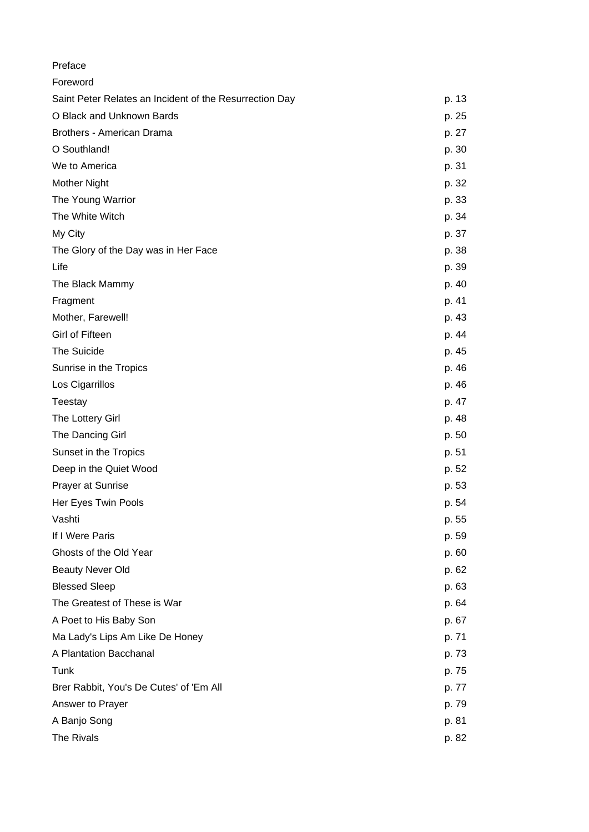| Preface                                                 |       |
|---------------------------------------------------------|-------|
| Foreword                                                |       |
| Saint Peter Relates an Incident of the Resurrection Day | p. 13 |
| O Black and Unknown Bards                               | p. 25 |
| Brothers - American Drama                               | p. 27 |
| O Southland!                                            | p. 30 |
| We to America                                           | p. 31 |
| Mother Night                                            | p. 32 |
| The Young Warrior                                       | p. 33 |
| The White Witch                                         | p. 34 |
| My City                                                 | p. 37 |
| The Glory of the Day was in Her Face                    | p. 38 |
| Life                                                    | p. 39 |
| The Black Mammy                                         | p. 40 |
| Fragment                                                | p. 41 |
| Mother, Farewell!                                       | p. 43 |
| Girl of Fifteen                                         | p. 44 |
| The Suicide                                             | p. 45 |
| Sunrise in the Tropics                                  | p. 46 |
| Los Cigarrillos                                         | p. 46 |
| Teestay                                                 | p. 47 |
| The Lottery Girl                                        | p. 48 |
| The Dancing Girl                                        | p. 50 |
| Sunset in the Tropics                                   | p. 51 |
| Deep in the Quiet Wood                                  | p. 52 |
| <b>Prayer at Sunrise</b>                                | p. 53 |
| Her Eyes Twin Pools                                     | p. 54 |
| Vashti                                                  | p. 55 |
| If I Were Paris                                         | p. 59 |
| Ghosts of the Old Year                                  | p. 60 |
| <b>Beauty Never Old</b>                                 | p. 62 |
| <b>Blessed Sleep</b>                                    | p. 63 |
| The Greatest of These is War                            | p. 64 |
| A Poet to His Baby Son                                  | p. 67 |
| Ma Lady's Lips Am Like De Honey                         | p. 71 |
| A Plantation Bacchanal                                  | p. 73 |
| Tunk                                                    | p. 75 |
| Brer Rabbit, You's De Cutes' of 'Em All                 | p. 77 |
| Answer to Prayer                                        | p. 79 |
| A Banjo Song                                            | p. 81 |
| The Rivals                                              | p. 82 |